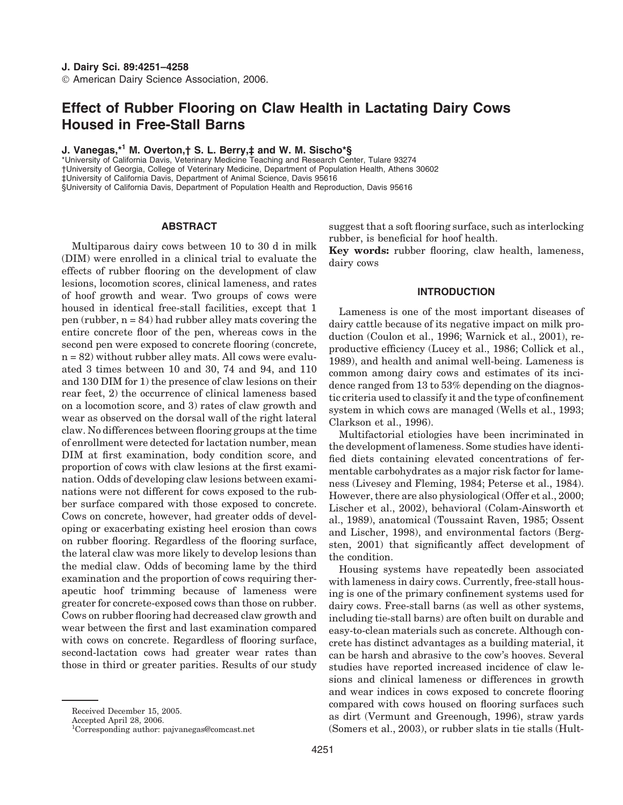© American Dairy Science Association, 2006.

# **Effect of Rubber Flooring on Claw Health in Lactating Dairy Cows Housed in Free-Stall Barns**

**J. Vanegas,\*<sup>1</sup> M. Overton,† S. L. Berry,‡ and W. M. Sischo\*§**

\*University of California Davis, Veterinary Medicine Teaching and Research Center, Tulare 93274 †University of Georgia, College of Veterinary Medicine, Department of Population Health, Athens 30602 ‡University of California Davis, Department of Animal Science, Davis 95616 §University of California Davis, Department of Population Health and Reproduction, Davis 95616

# **ABSTRACT**

Multiparous dairy cows between 10 to 30 d in milk (DIM) were enrolled in a clinical trial to evaluate the effects of rubber flooring on the development of claw lesions, locomotion scores, clinical lameness, and rates of hoof growth and wear. Two groups of cows were housed in identical free-stall facilities, except that 1 pen (rubber,  $n = 84$ ) had rubber alley mats covering the entire concrete floor of the pen, whereas cows in the second pen were exposed to concrete flooring (concrete,  $n = 82$ ) without rubber alley mats. All cows were evaluated 3 times between 10 and 30, 74 and 94, and 110 and 130 DIM for 1) the presence of claw lesions on their rear feet, 2) the occurrence of clinical lameness based on a locomotion score, and 3) rates of claw growth and wear as observed on the dorsal wall of the right lateral claw. No differences between flooring groups at the time of enrollment were detected for lactation number, mean DIM at first examination, body condition score, and proportion of cows with claw lesions at the first examination. Odds of developing claw lesions between examinations were not different for cows exposed to the rubber surface compared with those exposed to concrete. Cows on concrete, however, had greater odds of developing or exacerbating existing heel erosion than cows on rubber flooring. Regardless of the flooring surface, the lateral claw was more likely to develop lesions than the medial claw. Odds of becoming lame by the third examination and the proportion of cows requiring therapeutic hoof trimming because of lameness were greater for concrete-exposed cows than those on rubber. Cows on rubber flooring had decreased claw growth and wear between the first and last examination compared with cows on concrete. Regardless of flooring surface, second-lactation cows had greater wear rates than those in third or greater parities. Results of our study suggest that a soft flooring surface, such as interlocking rubber, is beneficial for hoof health.

**Key words:** rubber flooring, claw health, lameness, dairy cows

# **INTRODUCTION**

Lameness is one of the most important diseases of dairy cattle because of its negative impact on milk production (Coulon et al., 1996; Warnick et al., 2001), reproductive efficiency (Lucey et al., 1986; Collick et al., 1989), and health and animal well-being. Lameness is common among dairy cows and estimates of its incidence ranged from 13 to 53% depending on the diagnostic criteria used to classify it and the type of confinement system in which cows are managed (Wells et al., 1993; Clarkson et al., 1996).

Multifactorial etiologies have been incriminated in the development of lameness. Some studies have identified diets containing elevated concentrations of fermentable carbohydrates as a major risk factor for lameness (Livesey and Fleming, 1984; Peterse et al., 1984). However, there are also physiological (Offer et al., 2000; Lischer et al., 2002), behavioral (Colam-Ainsworth et al., 1989), anatomical (Toussaint Raven, 1985; Ossent and Lischer, 1998), and environmental factors (Bergsten, 2001) that significantly affect development of the condition.

Housing systems have repeatedly been associated with lameness in dairy cows. Currently, free-stall housing is one of the primary confinement systems used for dairy cows. Free-stall barns (as well as other systems, including tie-stall barns) are often built on durable and easy-to-clean materials such as concrete. Although concrete has distinct advantages as a building material, it can be harsh and abrasive to the cow's hooves. Several studies have reported increased incidence of claw lesions and clinical lameness or differences in growth and wear indices in cows exposed to concrete flooring compared with cows housed on flooring surfaces such as dirt (Vermunt and Greenough, 1996), straw yards (Somers et al., 2003), or rubber slats in tie stalls (Hult-

Received December 15, 2005.

Accepted April 28, 2006.

<sup>1</sup> Corresponding author: pajvanegas@comcast.net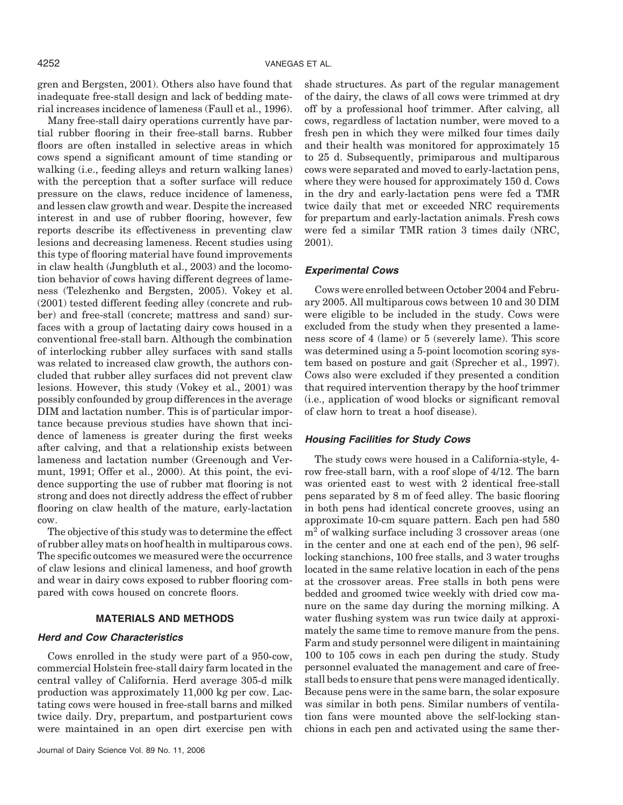gren and Bergsten, 2001). Others also have found that inadequate free-stall design and lack of bedding material increases incidence of lameness (Faull et al., 1996).

Many free-stall dairy operations currently have partial rubber flooring in their free-stall barns. Rubber floors are often installed in selective areas in which cows spend a significant amount of time standing or walking (i.e., feeding alleys and return walking lanes) with the perception that a softer surface will reduce pressure on the claws, reduce incidence of lameness, and lessen claw growth and wear. Despite the increased interest in and use of rubber flooring, however, few reports describe its effectiveness in preventing claw lesions and decreasing lameness. Recent studies using this type of flooring material have found improvements in claw health (Jungbluth et al., 2003) and the locomotion behavior of cows having different degrees of lameness (Telezhenko and Bergsten, 2005). Vokey et al. (2001) tested different feeding alley (concrete and rubber) and free-stall (concrete; mattress and sand) surfaces with a group of lactating dairy cows housed in a conventional free-stall barn. Although the combination of interlocking rubber alley surfaces with sand stalls was related to increased claw growth, the authors concluded that rubber alley surfaces did not prevent claw lesions. However, this study (Vokey et al., 2001) was possibly confounded by group differences in the average DIM and lactation number. This is of particular importance because previous studies have shown that incidence of lameness is greater during the first weeks after calving, and that a relationship exists between lameness and lactation number (Greenough and Vermunt, 1991; Offer et al., 2000). At this point, the evidence supporting the use of rubber mat flooring is not strong and does not directly address the effect of rubber flooring on claw health of the mature, early-lactation cow.

The objective of this study was to determine the effect of rubber alley mats on hoof health in multiparous cows. The specific outcomes we measured were the occurrence of claw lesions and clinical lameness, and hoof growth and wear in dairy cows exposed to rubber flooring compared with cows housed on concrete floors.

# **MATERIALS AND METHODS**

# *Herd and Cow Characteristics*

Cows enrolled in the study were part of a 950-cow, commercial Holstein free-stall dairy farm located in the central valley of California. Herd average 305-d milk production was approximately 11,000 kg per cow. Lactating cows were housed in free-stall barns and milked twice daily. Dry, prepartum, and postparturient cows were maintained in an open dirt exercise pen with shade structures. As part of the regular management of the dairy, the claws of all cows were trimmed at dry off by a professional hoof trimmer. After calving, all cows, regardless of lactation number, were moved to a fresh pen in which they were milked four times daily and their health was monitored for approximately 15 to 25 d. Subsequently, primiparous and multiparous cows were separated and moved to early-lactation pens, where they were housed for approximately 150 d. Cows in the dry and early-lactation pens were fed a TMR twice daily that met or exceeded NRC requirements for prepartum and early-lactation animals. Fresh cows were fed a similar TMR ration 3 times daily (NRC, 2001).

#### *Experimental Cows*

Cows were enrolled between October 2004 and February 2005. All multiparous cows between 10 and 30 DIM were eligible to be included in the study. Cows were excluded from the study when they presented a lameness score of 4 (lame) or 5 (severely lame). This score was determined using a 5-point locomotion scoring system based on posture and gait (Sprecher et al., 1997). Cows also were excluded if they presented a condition that required intervention therapy by the hoof trimmer (i.e., application of wood blocks or significant removal of claw horn to treat a hoof disease).

# *Housing Facilities for Study Cows*

The study cows were housed in a California-style, 4 row free-stall barn, with a roof slope of 4/12. The barn was oriented east to west with 2 identical free-stall pens separated by 8 m of feed alley. The basic flooring in both pens had identical concrete grooves, using an approximate 10-cm square pattern. Each pen had 580  $m<sup>2</sup>$  of walking surface including 3 crossover areas (one in the center and one at each end of the pen), 96 selflocking stanchions, 100 free stalls, and 3 water troughs located in the same relative location in each of the pens at the crossover areas. Free stalls in both pens were bedded and groomed twice weekly with dried cow manure on the same day during the morning milking. A water flushing system was run twice daily at approximately the same time to remove manure from the pens. Farm and study personnel were diligent in maintaining 100 to 105 cows in each pen during the study. Study personnel evaluated the management and care of freestall beds to ensure that pens were managed identically. Because pens were in the same barn, the solar exposure was similar in both pens. Similar numbers of ventilation fans were mounted above the self-locking stanchions in each pen and activated using the same ther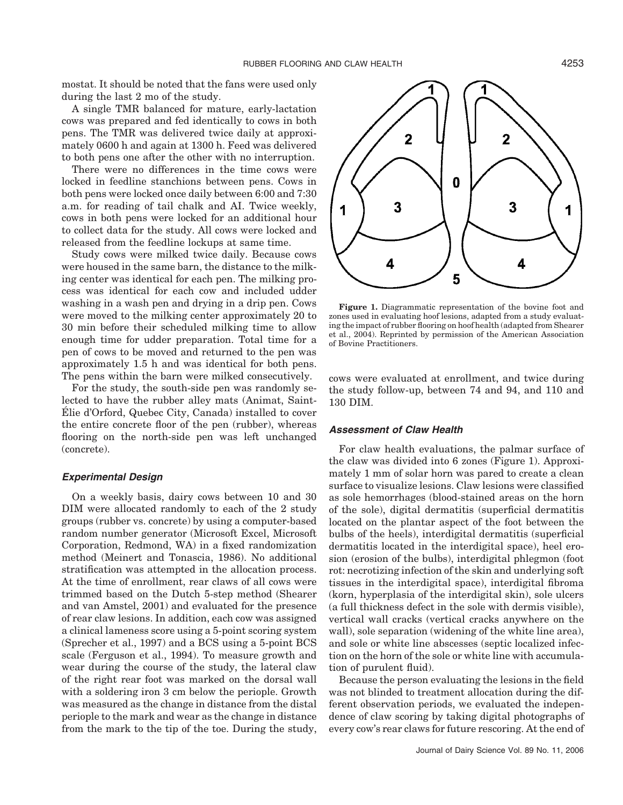mostat. It should be noted that the fans were used only during the last 2 mo of the study.

A single TMR balanced for mature, early-lactation cows was prepared and fed identically to cows in both pens. The TMR was delivered twice daily at approximately 0600 h and again at 1300 h. Feed was delivered to both pens one after the other with no interruption.

There were no differences in the time cows were locked in feedline stanchions between pens. Cows in both pens were locked once daily between 6:00 and 7:30 a.m. for reading of tail chalk and AI. Twice weekly, cows in both pens were locked for an additional hour to collect data for the study. All cows were locked and released from the feedline lockups at same time.

Study cows were milked twice daily. Because cows were housed in the same barn, the distance to the milking center was identical for each pen. The milking process was identical for each cow and included udder washing in a wash pen and drying in a drip pen. Cows were moved to the milking center approximately 20 to 30 min before their scheduled milking time to allow enough time for udder preparation. Total time for a pen of cows to be moved and returned to the pen was approximately 1.5 h and was identical for both pens. The pens within the barn were milked consecutively.

For the study, the south-side pen was randomly selected to have the rubber alley mats (Animat, Saint-Elie d'Orford, Quebec City, Canada) installed to cover the entire concrete floor of the pen (rubber), whereas flooring on the north-side pen was left unchanged (concrete).

#### *Experimental Design*

On a weekly basis, dairy cows between 10 and 30 DIM were allocated randomly to each of the 2 study groups (rubber vs. concrete) by using a computer-based random number generator (Microsoft Excel, Microsoft Corporation, Redmond, WA) in a fixed randomization method (Meinert and Tonascia, 1986). No additional stratification was attempted in the allocation process. At the time of enrollment, rear claws of all cows were trimmed based on the Dutch 5-step method (Shearer and van Amstel, 2001) and evaluated for the presence of rear claw lesions. In addition, each cow was assigned a clinical lameness score using a 5-point scoring system (Sprecher et al., 1997) and a BCS using a 5-point BCS scale (Ferguson et al., 1994). To measure growth and wear during the course of the study, the lateral claw of the right rear foot was marked on the dorsal wall with a soldering iron 3 cm below the periople. Growth was measured as the change in distance from the distal periople to the mark and wear as the change in distance from the mark to the tip of the toe. During the study,



**Figure 1.** Diagrammatic representation of the bovine foot and zones used in evaluating hoof lesions, adapted from a study evaluating the impact of rubber flooring on hoof health (adapted from Shearer et al., 2004). Reprinted by permission of the American Association of Bovine Practitioners.

cows were evaluated at enrollment, and twice during the study follow-up, between 74 and 94, and 110 and 130 DIM.

# *Assessment of Claw Health*

For claw health evaluations, the palmar surface of the claw was divided into 6 zones (Figure 1). Approximately 1 mm of solar horn was pared to create a clean surface to visualize lesions. Claw lesions were classified as sole hemorrhages (blood-stained areas on the horn of the sole), digital dermatitis (superficial dermatitis located on the plantar aspect of the foot between the bulbs of the heels), interdigital dermatitis (superficial dermatitis located in the interdigital space), heel erosion (erosion of the bulbs), interdigital phlegmon (foot rot: necrotizing infection of the skin and underlying soft tissues in the interdigital space), interdigital fibroma (korn, hyperplasia of the interdigital skin), sole ulcers (a full thickness defect in the sole with dermis visible), vertical wall cracks (vertical cracks anywhere on the wall), sole separation (widening of the white line area), and sole or white line abscesses (septic localized infection on the horn of the sole or white line with accumulation of purulent fluid).

Because the person evaluating the lesions in the field was not blinded to treatment allocation during the different observation periods, we evaluated the independence of claw scoring by taking digital photographs of every cow's rear claws for future rescoring. At the end of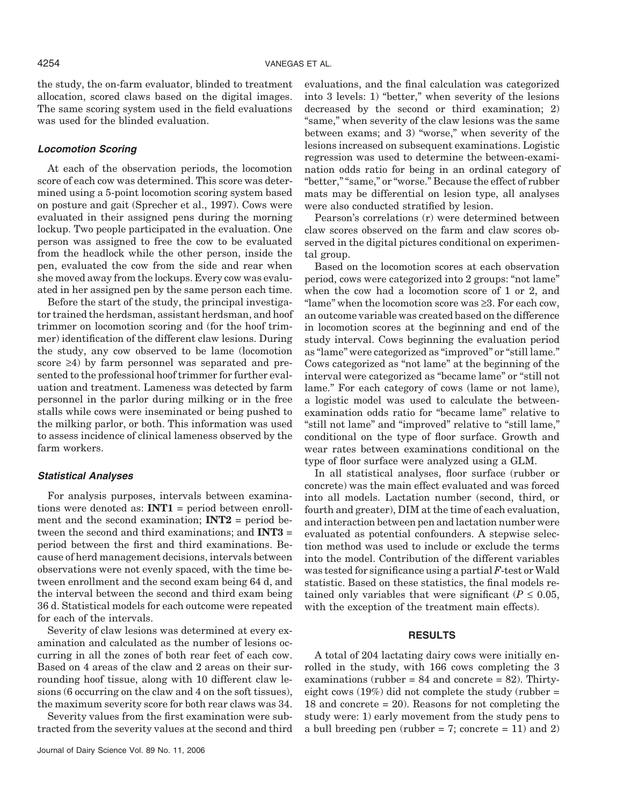the study, the on-farm evaluator, blinded to treatment allocation, scored claws based on the digital images. The same scoring system used in the field evaluations was used for the blinded evaluation.

#### *Locomotion Scoring*

At each of the observation periods, the locomotion score of each cow was determined. This score was determined using a 5-point locomotion scoring system based on posture and gait (Sprecher et al., 1997). Cows were evaluated in their assigned pens during the morning lockup. Two people participated in the evaluation. One person was assigned to free the cow to be evaluated from the headlock while the other person, inside the pen, evaluated the cow from the side and rear when she moved away from the lockups. Every cow was evaluated in her assigned pen by the same person each time.

Before the start of the study, the principal investigator trained the herdsman, assistant herdsman, and hoof trimmer on locomotion scoring and (for the hoof trimmer) identification of the different claw lesions. During the study, any cow observed to be lame (locomotion score ≥4) by farm personnel was separated and presented to the professional hoof trimmer for further evaluation and treatment. Lameness was detected by farm personnel in the parlor during milking or in the free stalls while cows were inseminated or being pushed to the milking parlor, or both. This information was used to assess incidence of clinical lameness observed by the farm workers.

#### *Statistical Analyses*

For analysis purposes, intervals between examinations were denoted as:  $INT1 = period$  between enrollment and the second examination;  $INT2$  = period between the second and third examinations; and **INT3** = period between the first and third examinations. Because of herd management decisions, intervals between observations were not evenly spaced, with the time between enrollment and the second exam being 64 d, and the interval between the second and third exam being 36 d. Statistical models for each outcome were repeated for each of the intervals.

Severity of claw lesions was determined at every examination and calculated as the number of lesions occurring in all the zones of both rear feet of each cow. Based on 4 areas of the claw and 2 areas on their surrounding hoof tissue, along with 10 different claw lesions (6 occurring on the claw and 4 on the soft tissues), the maximum severity score for both rear claws was 34.

Severity values from the first examination were subtracted from the severity values at the second and third evaluations, and the final calculation was categorized into 3 levels: 1) "better," when severity of the lesions decreased by the second or third examination; 2) "same," when severity of the claw lesions was the same between exams; and 3) "worse," when severity of the lesions increased on subsequent examinations. Logistic regression was used to determine the between-examination odds ratio for being in an ordinal category of "better," "same," or "worse." Because the effect of rubber mats may be differential on lesion type, all analyses were also conducted stratified by lesion.

Pearson's correlations (r) were determined between claw scores observed on the farm and claw scores observed in the digital pictures conditional on experimental group.

Based on the locomotion scores at each observation period, cows were categorized into 2 groups: "not lame" when the cow had a locomotion score of 1 or 2, and "lame" when the locomotion score was ≥3. For each cow, an outcome variable was created based on the difference in locomotion scores at the beginning and end of the study interval. Cows beginning the evaluation period as "lame" were categorized as "improved" or "still lame." Cows categorized as "not lame" at the beginning of the interval were categorized as "became lame" or "still not lame." For each category of cows (lame or not lame), a logistic model was used to calculate the betweenexamination odds ratio for "became lame" relative to "still not lame" and "improved" relative to "still lame," conditional on the type of floor surface. Growth and wear rates between examinations conditional on the type of floor surface were analyzed using a GLM.

In all statistical analyses, floor surface (rubber or concrete) was the main effect evaluated and was forced into all models. Lactation number (second, third, or fourth and greater), DIM at the time of each evaluation, and interaction between pen and lactation number were evaluated as potential confounders. A stepwise selection method was used to include or exclude the terms into the model. Contribution of the different variables was tested for significance using a partial *F*-test or Wald statistic. Based on these statistics, the final models retained only variables that were significant ( $P \leq 0.05$ , with the exception of the treatment main effects).

#### **RESULTS**

A total of 204 lactating dairy cows were initially enrolled in the study, with 166 cows completing the 3 examinations (rubber  $= 84$  and concrete  $= 82$ ). Thirtyeight cows  $(19%)$  did not complete the study (rubber = 18 and concrete = 20). Reasons for not completing the study were: 1) early movement from the study pens to a bull breeding pen (rubber  $= 7$ ; concrete  $= 11$ ) and 2)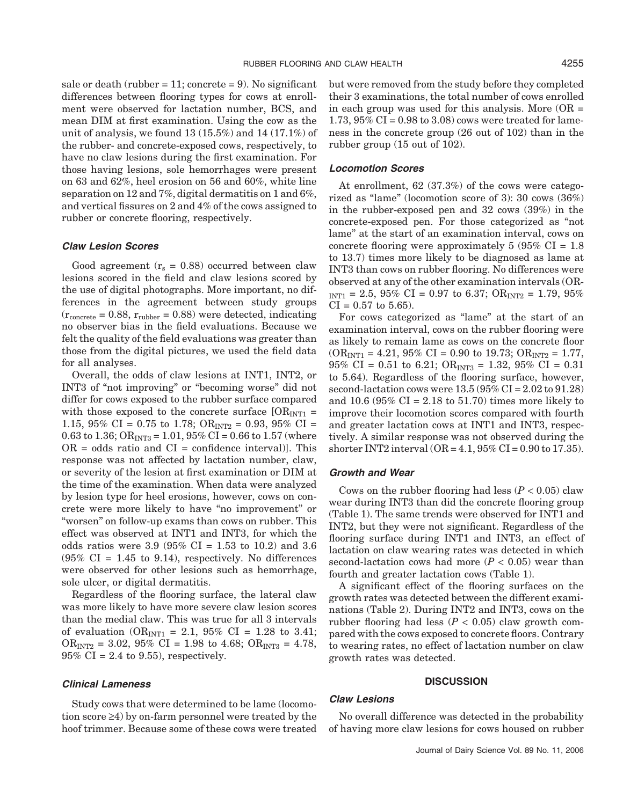sale or death (rubber  $= 11$ ; concrete  $= 9$ ). No significant differences between flooring types for cows at enrollment were observed for lactation number, BCS, and mean DIM at first examination. Using the cow as the unit of analysis, we found 13 (15.5%) and 14 (17.1%) of the rubber- and concrete-exposed cows, respectively, to have no claw lesions during the first examination. For those having lesions, sole hemorrhages were present on 63 and 62%, heel erosion on 56 and 60%, white line separation on 12 and 7%, digital dermatitis on 1 and 6%, and vertical fissures on 2 and 4% of the cows assigned to rubber or concrete flooring, respectively.

#### *Claw Lesion Scores*

Good agreement ( $r_s = 0.88$ ) occurred between claw lesions scored in the field and claw lesions scored by the use of digital photographs. More important, no differences in the agreement between study groups  $(r_{\text{concrete}} = 0.88, r_{\text{rubber}} = 0.88)$  were detected, indicating no observer bias in the field evaluations. Because we felt the quality of the field evaluations was greater than those from the digital pictures, we used the field data for all analyses.

Overall, the odds of claw lesions at INT1, INT2, or INT3 of "not improving" or "becoming worse" did not differ for cows exposed to the rubber surface compared with those exposed to the concrete surface  $[OR_{INT1} =$ 1.15, 95% CI = 0.75 to 1.78; OR<sub>INT2</sub> = 0.93, 95% CI = 0.63 to 1.36; OR<sub>INT3</sub> = 1.01, 95% CI = 0.66 to 1.57 (where  $OR = odds ratio and CI = confidence interval$ . This response was not affected by lactation number, claw, or severity of the lesion at first examination or DIM at the time of the examination. When data were analyzed by lesion type for heel erosions, however, cows on concrete were more likely to have "no improvement" or "worsen" on follow-up exams than cows on rubber. This effect was observed at INT1 and INT3, for which the odds ratios were  $3.9 (95\% \text{ CI} = 1.53 \text{ to } 10.2)$  and  $3.6$  $(95\% \text{ CI} = 1.45 \text{ to } 9.14)$ , respectively. No differences were observed for other lesions such as hemorrhage, sole ulcer, or digital dermatitis.

Regardless of the flooring surface, the lateral claw was more likely to have more severe claw lesion scores than the medial claw. This was true for all 3 intervals of evaluation  $(OR_{INT1} = 2.1, 95\% \text{ CI} = 1.28 \text{ to } 3.41;$  $OR_{INT2} = 3.02, 95\% \text{ CI} = 1.98 \text{ to } 4.68; OR_{INT3} = 4.78,$  $95\%$  CI = 2.4 to 9.55), respectively.

#### *Clinical Lameness*

Study cows that were determined to be lame (locomotion score ≥4) by on-farm personnel were treated by the hoof trimmer. Because some of these cows were treated but were removed from the study before they completed their 3 examinations, the total number of cows enrolled in each group was used for this analysis. More  $(OR =$ 1.73,  $95\%$  CI = 0.98 to 3.08) cows were treated for lameness in the concrete group (26 out of 102) than in the rubber group (15 out of 102).

#### *Locomotion Scores*

At enrollment, 62 (37.3%) of the cows were categorized as "lame" (locomotion score of 3): 30 cows (36%) in the rubber-exposed pen and 32 cows (39%) in the concrete-exposed pen. For those categorized as "not lame" at the start of an examination interval, cows on concrete flooring were approximately  $5 (95\% \text{ CI} = 1.8)$ to 13.7) times more likely to be diagnosed as lame at INT3 than cows on rubber flooring. No differences were observed at any of the other examination intervals (OR- $I_{\text{INT1}} = 2.5, 95\% \text{ CI} = 0.97 \text{ to } 6.37; \text{ OR}_{\text{INT2}} = 1.79, 95\%$  $CI = 0.57$  to 5.65).

For cows categorized as "lame" at the start of an examination interval, cows on the rubber flooring were as likely to remain lame as cows on the concrete floor  $(OR_{INT1} = 4.21, 95\% \text{ CI} = 0.90 \text{ to } 19.73; OR_{INT2} = 1.77,$ 95% CI = 0.51 to 6.21; OR<sub>INT3</sub> = 1.32, 95% CI = 0.31 to 5.64). Regardless of the flooring surface, however, second-lactation cows were  $13.5 (95\% \text{ CI} = 2.02 \text{ to } 91.28)$ and 10.6 (95% CI = 2.18 to 51.70) times more likely to improve their locomotion scores compared with fourth and greater lactation cows at INT1 and INT3, respectively. A similar response was not observed during the shorter INT2 interval (OR =  $4.1$ ,  $95\%$  CI = 0.90 to 17.35).

#### *Growth and Wear*

Cows on the rubber flooring had less  $(P < 0.05)$  claw wear during INT3 than did the concrete flooring group (Table 1). The same trends were observed for INT1 and INT2, but they were not significant. Regardless of the flooring surface during INT1 and INT3, an effect of lactation on claw wearing rates was detected in which second-lactation cows had more  $(P < 0.05)$  wear than fourth and greater lactation cows (Table 1).

A significant effect of the flooring surfaces on the growth rates was detected between the different examinations (Table 2). During INT2 and INT3, cows on the rubber flooring had less  $(P < 0.05)$  claw growth compared with the cows exposed to concrete floors. Contrary to wearing rates, no effect of lactation number on claw growth rates was detected.

#### **DISCUSSION**

# *Claw Lesions*

No overall difference was detected in the probability of having more claw lesions for cows housed on rubber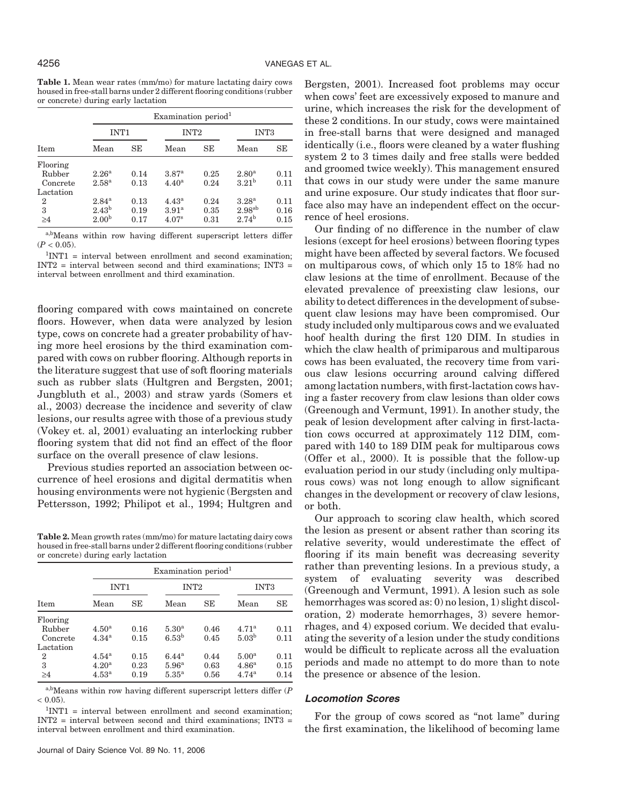**Table 1.** Mean wear rates (mm/mo) for mature lactating dairy cows housed in free-stall barns under 2 different flooring conditions (rubber or concrete) during early lactation

| Item      | Examination period <sup>1</sup> |      |                   |      |                      |      |  |  |
|-----------|---------------------------------|------|-------------------|------|----------------------|------|--|--|
|           | INT1                            |      | INT2              |      | INT3                 |      |  |  |
|           | Mean                            | SE   | Mean              | SE   | Mean                 | SE   |  |  |
| Flooring  |                                 |      |                   |      |                      |      |  |  |
| Rubber    | $2.26^{\rm a}$                  | 0.14 | 3.87 <sup>a</sup> | 0.25 | 2.80 <sup>a</sup>    | 0.11 |  |  |
| Concrete  | 2.58 <sup>a</sup>               | 0.13 | 4.40 <sup>a</sup> | 0.24 | 3.21 <sup>b</sup>    | 0.11 |  |  |
| Lactation |                                 |      |                   |      |                      |      |  |  |
| 2         | $2.84^{\rm a}$                  | 0.13 | $4.43^{\rm a}$    | 0.24 | 3.28 <sup>a</sup>    | 0.11 |  |  |
| 3         | $2.43^{b}$                      | 0.19 | 3.91 <sup>a</sup> | 0.35 | $2.98$ <sup>sb</sup> | 0.16 |  |  |
| $\geq 4$  | 2.00 <sup>b</sup>               | 0.17 | 4.07 <sup>s</sup> | 0.31 | 2.74 <sup>b</sup>    | 0.15 |  |  |

a,bMeans within row having different superscript letters differ  $(P < 0.05)$ .

 $1'INT1$  = interval between enrollment and second examination; INT2 = interval between second and third examinations; INT3 = interval between enrollment and third examination.

flooring compared with cows maintained on concrete floors. However, when data were analyzed by lesion type, cows on concrete had a greater probability of having more heel erosions by the third examination compared with cows on rubber flooring. Although reports in the literature suggest that use of soft flooring materials such as rubber slats (Hultgren and Bergsten, 2001; Jungbluth et al., 2003) and straw yards (Somers et al., 2003) decrease the incidence and severity of claw lesions, our results agree with those of a previous study (Vokey et. al, 2001) evaluating an interlocking rubber flooring system that did not find an effect of the floor surface on the overall presence of claw lesions.

Previous studies reported an association between occurrence of heel erosions and digital dermatitis when housing environments were not hygienic (Bergsten and Pettersson, 1992; Philipot et al., 1994; Hultgren and

**Table 2.** Mean growth rates (mm/mo) for mature lactating dairy cows housed in free-stall barns under 2 different flooring conditions (rubber or concrete) during early lactation

| Item      | Examination period <sup>1</sup> |      |                     |      |                   |      |  |  |
|-----------|---------------------------------|------|---------------------|------|-------------------|------|--|--|
|           | INT <sub>1</sub>                |      | INT <sub>2</sub>    |      | INT <sub>3</sub>  |      |  |  |
|           | Mean                            | SE   | Mean                | SE   | Mean              | SE   |  |  |
| Flooring  |                                 |      |                     |      |                   |      |  |  |
| Rubber    | $4.50^{\rm a}$                  | 0.16 | 5.30 <sup>a</sup>   | 0.46 | $4.71^{\rm a}$    | 0.11 |  |  |
| Concrete  | 4.34 <sup>a</sup>               | 0.15 | $6.53^{b}$          | 0.45 | 5.03 <sup>b</sup> | 0.11 |  |  |
| Lactation |                                 |      |                     |      |                   |      |  |  |
| 2         | $4.54^{\rm a}$                  | 0.15 | $6.44^{\rm a}$      | 0.44 | 5.00 <sup>a</sup> | 0.11 |  |  |
| 3         | 4.20 <sup>a</sup>               | 0.23 | 5.96 <sup>a</sup>   | 0.63 | 4.86 <sup>a</sup> | 0.15 |  |  |
| >4        | $4.53^{\rm a}$                  | 0.19 | $5.35^{\mathrm{a}}$ | 0.56 | 4.74 <sup>a</sup> | 0.14 |  |  |

a,bMeans within row having different superscript letters differ (*P*  $< 0.05$ ).

 $1'INT1$  = interval between enrollment and second examination;  $INT2 = interval between second and third expansions; INT3 =$ interval between enrollment and third examination.

Bergsten, 2001). Increased foot problems may occur when cows' feet are excessively exposed to manure and urine, which increases the risk for the development of these 2 conditions. In our study, cows were maintained in free-stall barns that were designed and managed identically (i.e., floors were cleaned by a water flushing system 2 to 3 times daily and free stalls were bedded and groomed twice weekly). This management ensured that cows in our study were under the same manure and urine exposure. Our study indicates that floor surface also may have an independent effect on the occurrence of heel erosions.

Our finding of no difference in the number of claw lesions (except for heel erosions) between flooring types might have been affected by several factors. We focused on multiparous cows, of which only 15 to 18% had no claw lesions at the time of enrollment. Because of the elevated prevalence of preexisting claw lesions, our ability to detect differences in the development of subsequent claw lesions may have been compromised. Our study included only multiparous cows and we evaluated hoof health during the first 120 DIM. In studies in which the claw health of primiparous and multiparous cows has been evaluated, the recovery time from various claw lesions occurring around calving differed among lactation numbers, with first-lactation cows having a faster recovery from claw lesions than older cows (Greenough and Vermunt, 1991). In another study, the peak of lesion development after calving in first-lactation cows occurred at approximately 112 DIM, compared with 140 to 189 DIM peak for multiparous cows (Offer et al., 2000). It is possible that the follow-up evaluation period in our study (including only multiparous cows) was not long enough to allow significant changes in the development or recovery of claw lesions, or both.

Our approach to scoring claw health, which scored the lesion as present or absent rather than scoring its relative severity, would underestimate the effect of flooring if its main benefit was decreasing severity rather than preventing lesions. In a previous study, a system of evaluating severity was described (Greenough and Vermunt, 1991). A lesion such as sole hemorrhages was scored as: 0) no lesion, 1) slight discoloration, 2) moderate hemorrhages, 3) severe hemorrhages, and 4) exposed corium. We decided that evaluating the severity of a lesion under the study conditions would be difficult to replicate across all the evaluation periods and made no attempt to do more than to note the presence or absence of the lesion.

# *Locomotion Scores*

For the group of cows scored as "not lame" during the first examination, the likelihood of becoming lame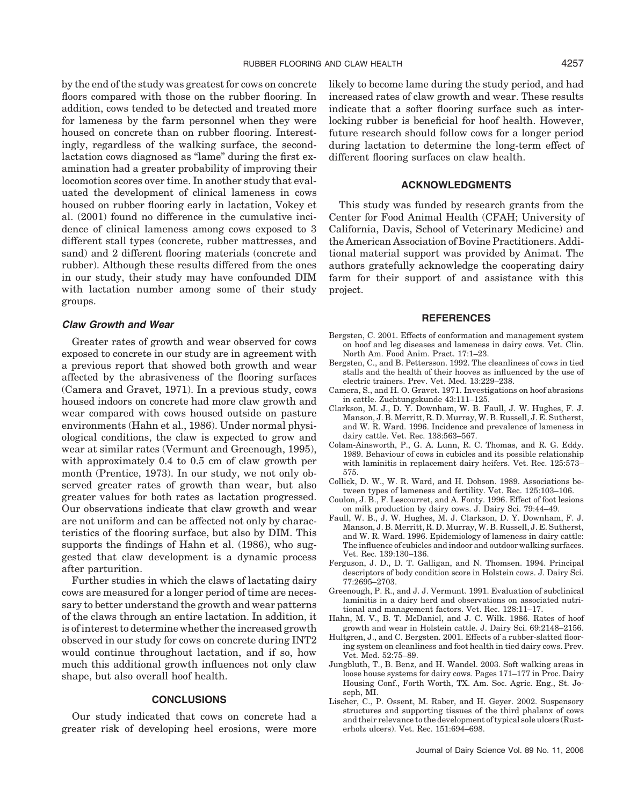by the end of the study was greatest for cows on concrete floors compared with those on the rubber flooring. In addition, cows tended to be detected and treated more for lameness by the farm personnel when they were housed on concrete than on rubber flooring. Interestingly, regardless of the walking surface, the secondlactation cows diagnosed as "lame" during the first examination had a greater probability of improving their locomotion scores over time. In another study that evaluated the development of clinical lameness in cows housed on rubber flooring early in lactation, Vokey et al. (2001) found no difference in the cumulative incidence of clinical lameness among cows exposed to 3 different stall types (concrete, rubber mattresses, and sand) and 2 different flooring materials (concrete and rubber). Although these results differed from the ones in our study, their study may have confounded DIM with lactation number among some of their study groups.

# *Claw Growth and Wear*

Greater rates of growth and wear observed for cows exposed to concrete in our study are in agreement with a previous report that showed both growth and wear affected by the abrasiveness of the flooring surfaces (Camera and Gravet, 1971). In a previous study, cows housed indoors on concrete had more claw growth and wear compared with cows housed outside on pasture environments (Hahn et al., 1986). Under normal physiological conditions, the claw is expected to grow and wear at similar rates (Vermunt and Greenough, 1995), with approximately 0.4 to 0.5 cm of claw growth per month (Prentice, 1973). In our study, we not only observed greater rates of growth than wear, but also greater values for both rates as lactation progressed. Our observations indicate that claw growth and wear are not uniform and can be affected not only by characteristics of the flooring surface, but also by DIM. This supports the findings of Hahn et al. (1986), who suggested that claw development is a dynamic process after parturition.

Further studies in which the claws of lactating dairy cows are measured for a longer period of time are necessary to better understand the growth and wear patterns of the claws through an entire lactation. In addition, it is of interest to determine whether the increased growth observed in our study for cows on concrete during INT2 would continue throughout lactation, and if so, how much this additional growth influences not only claw shape, but also overall hoof health.

# **CONCLUSIONS**

Our study indicated that cows on concrete had a greater risk of developing heel erosions, were more likely to become lame during the study period, and had increased rates of claw growth and wear. These results indicate that a softer flooring surface such as interlocking rubber is beneficial for hoof health. However, future research should follow cows for a longer period during lactation to determine the long-term effect of different flooring surfaces on claw health.

# **ACKNOWLEDGMENTS**

This study was funded by research grants from the Center for Food Animal Health (CFAH; University of California, Davis, School of Veterinary Medicine) and the American Association of Bovine Practitioners. Additional material support was provided by Animat. The authors gratefully acknowledge the cooperating dairy farm for their support of and assistance with this project.

## **REFERENCES**

- Bergsten, C. 2001. Effects of conformation and management system on hoof and leg diseases and lameness in dairy cows. Vet. Clin. North Am. Food Anim. Pract. 17:1–23.
- Bergsten, C., and B. Pettersson. 1992. The cleanliness of cows in tied stalls and the health of their hooves as influenced by the use of electric trainers. Prev. Vet. Med. 13:229–238.
- Camera, S., and H. O. Gravet. 1971. Investigations on hoof abrasions in cattle. Zuchtungskunde 43:111–125.
- Clarkson, M. J., D. Y. Downham, W. B. Faull, J. W. Hughes, F. J. Manson, J. B. Merritt, R. D. Murray, W. B. Russell, J. E. Sutherst, and W. R. Ward. 1996. Incidence and prevalence of lameness in dairy cattle. Vet. Rec. 138:563–567.
- Colam-Ainsworth, P., G. A. Lunn, R. C. Thomas, and R. G. Eddy. 1989. Behaviour of cows in cubicles and its possible relationship with laminitis in replacement dairy heifers. Vet. Rec. 125:573– 575.
- Collick, D. W., W. R. Ward, and H. Dobson. 1989. Associations between types of lameness and fertility. Vet. Rec. 125:103–106.
- Coulon, J. B., F. Lescourret, and A. Fonty. 1996. Effect of foot lesions on milk production by dairy cows. J. Dairy Sci. 79:44–49.
- Faull, W. B., J. W. Hughes, M. J. Clarkson, D. Y. Downham, F. J. Manson, J. B. Merritt, R. D. Murray, W. B. Russell, J. E. Sutherst, and W. R. Ward. 1996. Epidemiology of lameness in dairy cattle: The influence of cubicles and indoor and outdoor walking surfaces. Vet. Rec. 139:130–136.
- Ferguson, J. D., D. T. Galligan, and N. Thomsen. 1994. Principal descriptors of body condition score in Holstein cows. J. Dairy Sci. 77:2695–2703.
- Greenough, P. R., and J. J. Vermunt. 1991. Evaluation of subclinical laminitis in a dairy herd and observations on associated nutritional and management factors. Vet. Rec. 128:11–17.
- Hahn, M. V., B. T. McDaniel, and J. C. Wilk. 1986. Rates of hoof growth and wear in Holstein cattle. J. Dairy Sci. 69:2148–2156.
- Hultgren, J., and C. Bergsten. 2001. Effects of a rubber-slatted flooring system on cleanliness and foot health in tied dairy cows. Prev. Vet. Med. 52:75–89.
- Jungbluth, T., B. Benz, and H. Wandel. 2003. Soft walking areas in loose house systems for dairy cows. Pages 171–177 in Proc. Dairy Housing Conf., Forth Worth, TX. Am. Soc. Agric. Eng., St. Joseph, MI.
- Lischer, C., P. Ossent, M. Raber, and H. Geyer. 2002. Suspensory structures and supporting tissues of the third phalanx of cows and their relevance to the development of typical sole ulcers (Rusterholz ulcers). Vet. Rec. 151:694–698.